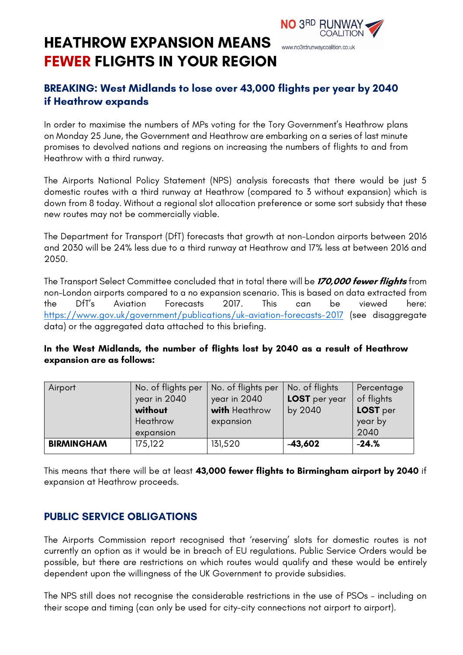### **HEATHROW EXPANSION MEANS**  www.no3rdrunwaycoalition.co.uk **FEWER FLIGHTS IN YOUR REGION**

# **BREAKING: West Midlands to lose over 43,000 flights per year by 2040 if Heathrow expands**

NO 3RD RUNWAY

**COALITION** 

In order to maximise the numbers of MPs voting for the Tory Government's Heathrow plans on Monday 25 June, the Government and Heathrow are embarking on a series of last minute promises to devolved nations and regions on increasing the numbers of flights to and from Heathrow with a third runway.

The Airports National Policy Statement (NPS) analysis forecasts that there would be just 5 domestic routes with a third runway at Heathrow (compared to 3 without expansion) which is down from 8 today. Without a regional slot allocation preference or some sort subsidy that these new routes may not be commercially viable.

The Department for Transport (DfT) forecasts that growth at non-London airports between 2016 and 2030 will be 24% less due to a third runway at Heathrow and 17% less at between 2016 and 2050.

The Transport Select Committee concluded that in total there will be **170,000 fewer flights** from non-London airports compared to a no expansion scenario. This is based on data extracted from the DfT's Aviation Forecasts 2017. This can be viewed here: https://www.gov.uk/government/publications/uk-aviation-forecasts-2017 (see disaggregate data) or the aggregated data attached to this briefing.

#### **In the West Midlands, the number of flights lost by 2040 as a result of Heathrow expansion are as follows:**

| Airport           | No. of flights per<br>year in 2040<br>without<br>Heathrow<br>expansion | No. of flights per<br>year in 2040<br>with Heathrow<br>expansion | No. of flights<br>LOST per year<br>by 2040 | Percentage<br>of flights<br>LOST per<br>year by<br>2040 |
|-------------------|------------------------------------------------------------------------|------------------------------------------------------------------|--------------------------------------------|---------------------------------------------------------|
| <b>BIRMINGHAM</b> | 175,122                                                                | 131,520                                                          | $-43,602$                                  | $-24.%$                                                 |

This means that there will be at least **43,000 fewer flights to Birmingham airport by 2040** if expansion at Heathrow proceeds.

## **PUBLIC SERVICE OBLIGATIONS**

The Airports Commission report recognised that 'reserving' slots for domestic routes is not currently an option as it would be in breach of EU regulations. Public Service Orders would be possible, but there are restrictions on which routes would qualify and these would be entirely dependent upon the willingness of the UK Government to provide subsidies.

The NPS still does not recognise the considerable restrictions in the use of PSOs – including on their scope and timing (can only be used for city-city connections not airport to airport).